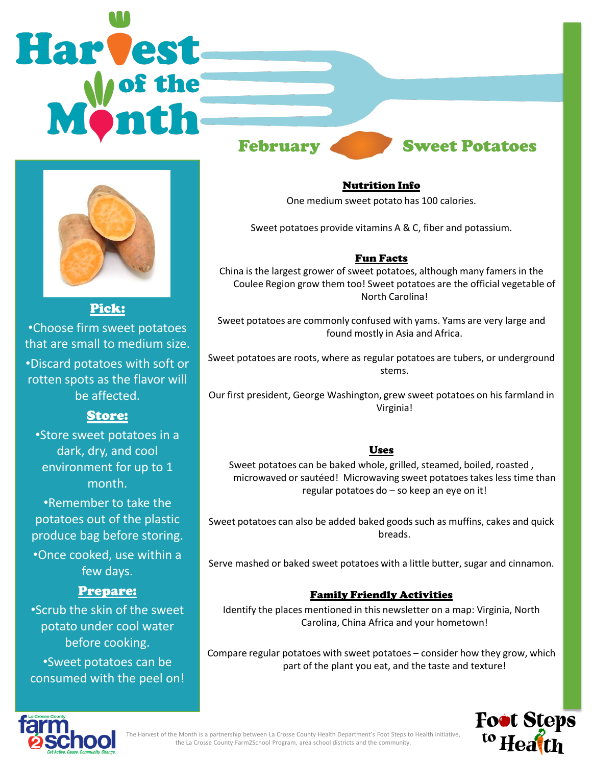# **Harvest** February Sweet Potatoes



Pick:

•Choose firm sweet potatoes that are small to medium size. •Discard potatoes with soft or rotten spots as the flavor will be affected.

# Store:

•Store sweet potatoes in a dark, dry, and cool environment for up to 1 month.

•Remember to take the potatoes out of the plastic produce bag before storing. •Once cooked, use within a few days.

# Prepare:

•Scrub the skin of the sweet potato under cool water before cooking. •Sweet potatoes can be consumed with the peel on! Nutrition Info

One medium sweet potato has 100 calories.

Sweet potatoes provide vitamins A & C, fiber and potassium.

### Fun Facts

China is the largest grower of sweet potatoes, although many famers in the Coulee Region grow them too! Sweet potatoes are the official vegetable of North Carolina!

Sweet potatoes are commonly confused with yams. Yams are very large and found mostly in Asia and Africa.

Sweet potatoes are roots, where as regular potatoes are tubers, or underground stems.

Our first president, George Washington, grew sweet potatoes on his farmland in Virginia!

## **Uses**

Sweet potatoes can be baked whole, grilled, steamed, boiled, roasted , microwaved or sautéed! Microwaving sweet potatoes takes less time than regular potatoes do – so keep an eye on it!

Sweet potatoes can also be added baked goods such as muffins, cakes and quick breads.

Serve mashed or baked sweet potatoes with a little butter, sugar and cinnamon.

# Family Friendly Activities

Identify the places mentioned in this newsletter on a map: Virginia, North Carolina, China Africa and your hometown!

Compare regular potatoes with sweet potatoes – consider how they grow, which part of the plant you eat, and the taste and texture!